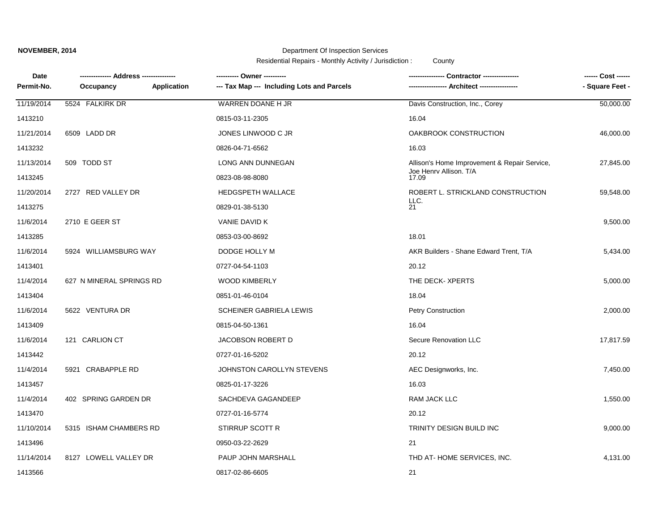## **NOVEMBER, 2014**

## Department Of Inspection Services

Residential Repairs - Monthly Activity / Jurisdiction : County

| Date<br>Permit-No. | -------------- Address ---------------<br><b>Application</b><br>Occupancy | ---------- Owner ----------<br>--- Tax Map --- Including Lots and Parcels | Contractor ----------------                  | - Square Feet - |
|--------------------|---------------------------------------------------------------------------|---------------------------------------------------------------------------|----------------------------------------------|-----------------|
| 11/19/2014         | 5524 FALKIRK DR                                                           | WARREN DOANE H JR                                                         | Davis Construction, Inc., Corey              | 50,000.00       |
| 1413210            |                                                                           | 0815-03-11-2305                                                           | 16.04                                        |                 |
| 11/21/2014         | 6509 LADD DR                                                              | JONES LINWOOD C JR                                                        | OAKBROOK CONSTRUCTION                        | 46,000.00       |
| 1413232            |                                                                           | 0826-04-71-6562                                                           | 16.03                                        |                 |
| 11/13/2014         | 509 TODD ST                                                               | LONG ANN DUNNEGAN                                                         | Allison's Home Improvement & Repair Service, | 27,845.00       |
| 1413245            |                                                                           | 0823-08-98-8080                                                           | Joe Henry Allison. T/A<br>17.09              |                 |
| 11/20/2014         | 2727 RED VALLEY DR                                                        | <b>HEDGSPETH WALLACE</b>                                                  | ROBERT L. STRICKLAND CONSTRUCTION            | 59,548.00       |
| 1413275            |                                                                           | 0829-01-38-5130                                                           | LLC.<br>21                                   |                 |
| 11/6/2014          | 2710 E GEER ST                                                            | VANIE DAVID K                                                             |                                              | 9,500.00        |
| 1413285            |                                                                           | 0853-03-00-8692                                                           | 18.01                                        |                 |
| 11/6/2014          | 5924 WILLIAMSBURG WAY                                                     | DODGE HOLLY M                                                             | AKR Builders - Shane Edward Trent, T/A       | 5,434.00        |
| 1413401            |                                                                           | 0727-04-54-1103                                                           | 20.12                                        |                 |
| 11/4/2014          | 627 N MINERAL SPRINGS RD                                                  | <b>WOOD KIMBERLY</b>                                                      | THE DECK-XPERTS                              | 5,000.00        |
| 1413404            |                                                                           | 0851-01-46-0104                                                           | 18.04                                        |                 |
| 11/6/2014          | 5622 VENTURA DR                                                           | SCHEINER GABRIELA LEWIS                                                   | Petry Construction                           | 2,000.00        |
| 1413409            |                                                                           | 0815-04-50-1361                                                           | 16.04                                        |                 |
| 11/6/2014          | 121 CARLION CT                                                            | JACOBSON ROBERT D                                                         | Secure Renovation LLC                        | 17,817.59       |
| 1413442            |                                                                           | 0727-01-16-5202                                                           | 20.12                                        |                 |
| 11/4/2014          | 5921 CRABAPPLE RD                                                         | JOHNSTON CAROLLYN STEVENS                                                 | AEC Designworks, Inc.                        | 7,450.00        |
| 1413457            |                                                                           | 0825-01-17-3226                                                           | 16.03                                        |                 |
| 11/4/2014          | 402 SPRING GARDEN DR                                                      | SACHDEVA GAGANDEEP                                                        | RAM JACK LLC                                 | 1,550.00        |
| 1413470            |                                                                           | 0727-01-16-5774                                                           | 20.12                                        |                 |
| 11/10/2014         | 5315 ISHAM CHAMBERS RD                                                    | STIRRUP SCOTT R                                                           | TRINITY DESIGN BUILD INC                     | 9,000.00        |
| 1413496            |                                                                           | 0950-03-22-2629                                                           | 21                                           |                 |
| 11/14/2014         | 8127 LOWELL VALLEY DR                                                     | PAUP JOHN MARSHALL                                                        | THD AT-HOME SERVICES, INC.                   | 4,131.00        |
| 1413566            |                                                                           | 0817-02-86-6605                                                           | 21                                           |                 |